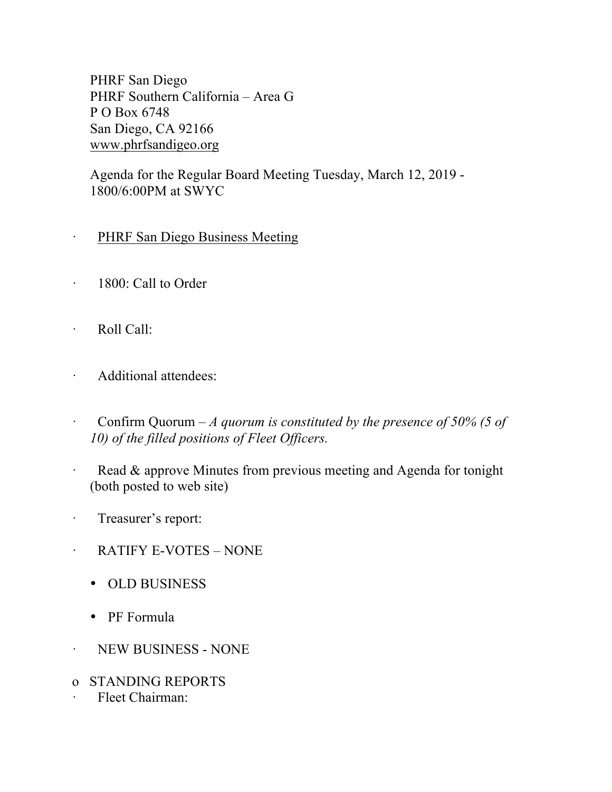PHRF San Diego PHRF Southern California – Area G P O Box 6748 San Diego, CA 92166 www.phrfsandigeo.org

Agenda for the Regular Board Meeting Tuesday, March 12, 2019 - 1800/6:00PM at SWYC

- PHRF San Diego Business Meeting
- · 1800: Call to Order
- · Roll Call:
- · Additional attendees:
- · Confirm Quorum *A quorum is constituted by the presence of 50% (5 of 10) of the filled positions of Fleet Officers.*
- · Read & approve Minutes from previous meeting and Agenda for tonight (both posted to web site)
- · Treasurer's report:
- · RATIFY E-VOTES NONE
	- OLD BUSINESS
	- PF Formula
- · NEW BUSINESS NONE
- o STANDING REPORTS
- Fleet Chairman: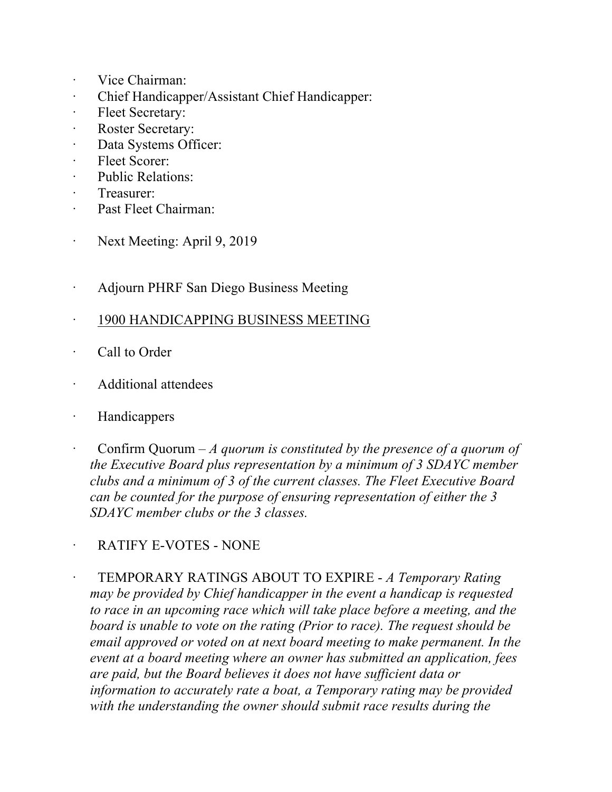- · Vice Chairman:
- · Chief Handicapper/Assistant Chief Handicapper:
- · Fleet Secretary:
- Roster Secretary:
- · Data Systems Officer:
- Fleet Scorer:
- · Public Relations:
- Treasurer:
- · Past Fleet Chairman:
- · Next Meeting: April 9, 2019
- · Adjourn PHRF San Diego Business Meeting
- · 1900 HANDICAPPING BUSINESS MEETING
- · Call to Order
- · Additional attendees
- · Handicappers
- · Confirm Quorum *A quorum is constituted by the presence of a quorum of the Executive Board plus representation by a minimum of 3 SDAYC member clubs and a minimum of 3 of the current classes. The Fleet Executive Board can be counted for the purpose of ensuring representation of either the 3 SDAYC member clubs or the 3 classes.*

RATIFY E-VOTES - NONE

· TEMPORARY RATINGS ABOUT TO EXPIRE - *A Temporary Rating may be provided by Chief handicapper in the event a handicap is requested to race in an upcoming race which will take place before a meeting, and the board is unable to vote on the rating (Prior to race). The request should be email approved or voted on at next board meeting to make permanent. In the event at a board meeting where an owner has submitted an application, fees are paid, but the Board believes it does not have sufficient data or information to accurately rate a boat, a Temporary rating may be provided with the understanding the owner should submit race results during the*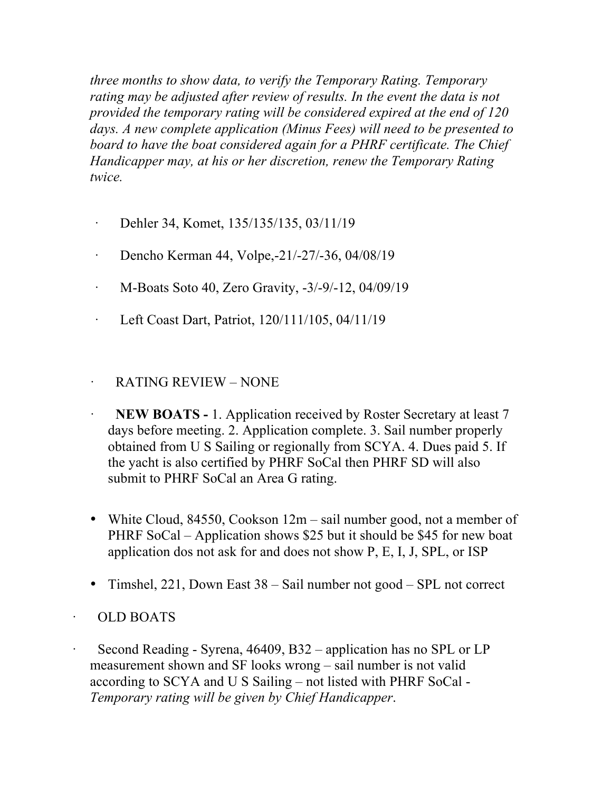*three months to show data, to verify the Temporary Rating. Temporary*  rating may be adjusted after review of results. In the event the data is not *provided the temporary rating will be considered expired at the end of 120 days. A new complete application (Minus Fees) will need to be presented to board to have the boat considered again for a PHRF certificate. The Chief Handicapper may, at his or her discretion, renew the Temporary Rating twice.*

- · Dehler 34, Komet, 135/135/135, 03/11/19
- · Dencho Kerman 44, Volpe,-21/-27/-36, 04/08/19
- · M-Boats Soto 40, Zero Gravity, -3/-9/-12, 04/09/19
- · Left Coast Dart, Patriot, 120/111/105, 04/11/19

## · RATING REVIEW – NONE

- **NEW BOATS -** 1. Application received by Roster Secretary at least 7 days before meeting. 2. Application complete. 3. Sail number properly obtained from U S Sailing or regionally from SCYA. 4. Dues paid 5. If the yacht is also certified by PHRF SoCal then PHRF SD will also submit to PHRF SoCal an Area G rating.
- White Cloud, 84550, Cookson 12m sail number good, not a member of PHRF SoCal – Application shows \$25 but it should be \$45 for new boat application dos not ask for and does not show P, E, I, J, SPL, or ISP
- Timshel, 221, Down East 38 Sail number not good SPL not correct

## · OLD BOATS

Second Reading - Syrena, 46409, B32 – application has no SPL or LP measurement shown and SF looks wrong – sail number is not valid according to SCYA and U S Sailing – not listed with PHRF SoCal - *Temporary rating will be given by Chief Handicapper*.